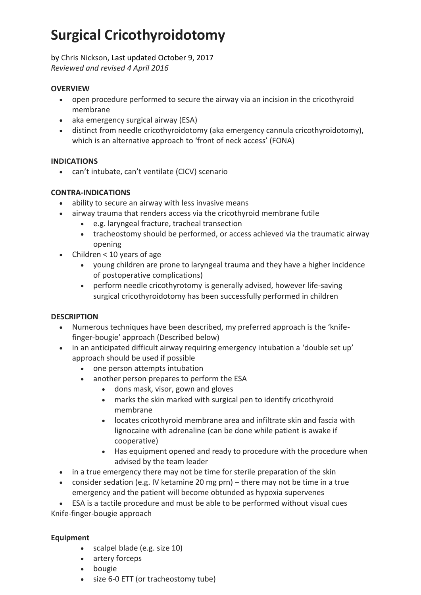# **Surgical Cricothyroidotomy**

## by [Chris Nickson,](https://lifeinthefastlane.com/author/precordialthump/) Last updated October 9, 2017 *Reviewed and revised 4 April 2016*

## **OVERVIEW**

- open procedure performed to secure the airway via an incision in the cricothyroid membrane
- aka emergency surgical airway (ESA)
- distinct from needle cricothyroidotomy (aka emergency cannula cricothyroidotomy), which is an alternative approach to 'front of neck access' (FONA)

#### **INDICATIONS**

• can't intubate, can't ventilate (CICV) scenario

#### **CONTRA-INDICATIONS**

- ability to secure an airway with less invasive means
- airway trauma that renders access via the cricothyroid membrane futile
	- e.g. laryngeal fracture, tracheal transection
	- tracheostomy should be performed, or access achieved via the traumatic airway opening
- Children < 10 years of age
	- young children are prone to laryngeal trauma and they have a higher incidence of postoperative complications)
	- perform needle cricothyrotomy is generally advised, however life-saving surgical cricothyroidotomy has been successfully performed in children

#### **DESCRIPTION**

- Numerous techniques have been described, my preferred approach is the 'knifefinger-bougie' approach (Described below)
- in an anticipated difficult airway requiring emergency intubation a 'double set up' approach should be used if possible
	- one person attempts intubation
	- another person prepares to perform the ESA
		- dons mask, visor, gown and gloves
		- marks the skin marked with surgical pen to identify cricothyroid membrane
		- locates cricothyroid membrane area and infiltrate skin and fascia with lignocaine with adrenaline (can be done while patient is awake if cooperative)
		- Has equipment opened and ready to procedure with the procedure when advised by the team leader
- in a true emergency there may not be time for sterile preparation of the skin
- consider sedation (e.g. IV ketamine 20 mg prn) there may not be time in a true emergency and the patient will become obtunded as hypoxia supervenes

• ESA is a tactile procedure and must be able to be performed without visual cues Knife-finger-bougie approach

#### **Equipment**

- scalpel blade (e.g. size 10)
- artery forceps
- bougie
- size 6-0 ETT (or tracheostomy tube)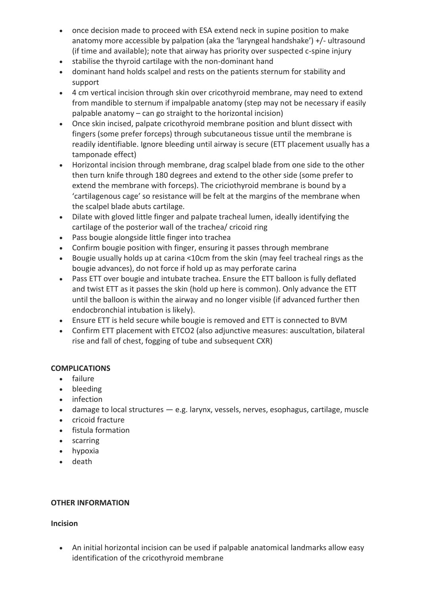- once decision made to proceed with ESA extend neck in supine position to make anatomy more accessible by palpation (aka the 'laryngeal handshake') +/- ultrasound (if time and available); note that airway has priority over suspected c-spine injury
- stabilise the thyroid cartilage with the non-dominant hand
- dominant hand holds scalpel and rests on the patients sternum for stability and support
- 4 cm vertical incision through skin over cricothyroid membrane, may need to extend from mandible to sternum if impalpable anatomy (step may not be necessary if easily palpable anatomy – can go straight to the horizontal incision)
- Once skin incised, palpate cricothyroid membrane position and blunt dissect with fingers (some prefer forceps) through subcutaneous tissue until the membrane is readily identifiable. Ignore bleeding until airway is secure (ETT placement usually has a tamponade effect)
- Horizontal incision through membrane, drag scalpel blade from one side to the other then turn knife through 180 degrees and extend to the other side (some prefer to extend the membrane with forceps). The criciothyroid membrane is bound by a 'cartilagenous cage' so resistance will be felt at the margins of the membrane when the scalpel blade abuts cartilage.
- Dilate with gloved little finger and palpate tracheal lumen, ideally identifying the cartilage of the posterior wall of the trachea/ cricoid ring
- Pass bougie alongside little finger into trachea
- Confirm bougie position with finger, ensuring it passes through membrane
- Bougie usually holds up at carina <10cm from the skin (may feel tracheal rings as the bougie advances), do not force if hold up as may perforate carina
- Pass ETT over bougie and intubate trachea. Ensure the ETT balloon is fully deflated and twist ETT as it passes the skin (hold up here is common). Only advance the ETT until the balloon is within the airway and no longer visible (if advanced further then endocbronchial intubation is likely).
- Ensure ETT is held secure while bougie is removed and ETT is connected to BVM
- Confirm ETT placement with ETCO2 (also adjunctive measures: auscultation, bilateral rise and fall of chest, fogging of tube and subsequent CXR)

#### **COMPLICATIONS**

- failure
- bleeding
- infection
- damage to local structures e.g. larynx, vessels, nerves, esophagus, cartilage, muscle
- cricoid fracture
- fistula formation
- scarring
- hypoxia
- death

#### **OTHER INFORMATION**

#### **Incision**

• An initial horizontal incision can be used if palpable anatomical landmarks allow easy identification of the cricothyroid membrane